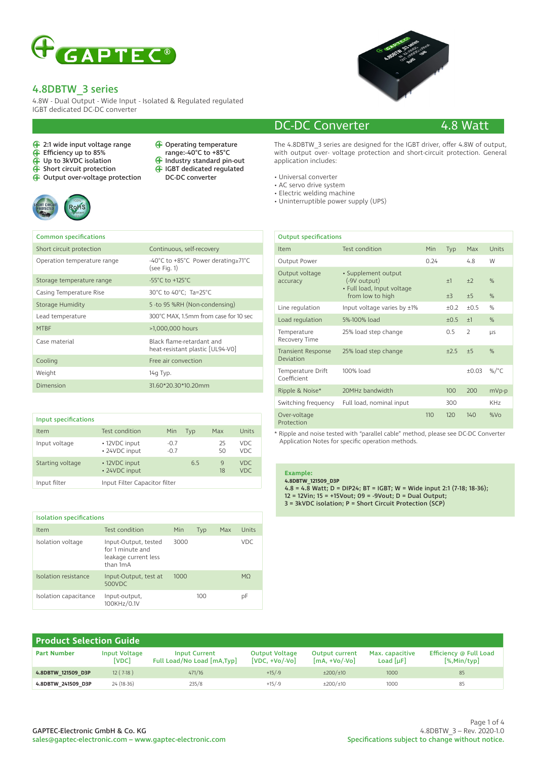

4.8W - Dual Output - Wide Input - Isolated & Regulated regulated IGBT dedicated DC-DC converter

- 2:1 wide input voltage range
- Efficiency up to 85%
- Up to 3kVDC isolation
- Short circuit protection
- Output over-voltage protection



- Operating temperature range:-40°C to +85°C
- A<sup>p</sup> Industry standard pin-out
- IGBT dedicated regulated
- DC-DC converter



### DC-DC Converter 4.8 Watt

The 4.8DBTW 3 series are designed for the IGBT driver, offer 4.8W of output, with output over- voltage protection and short-circuit protection. General application includes:

- Universal converter
- AC servo drive system
- Electric welding machine
- Uninterruptible power supply (UPS)

| <b>Common specifications</b> |                                                                   |
|------------------------------|-------------------------------------------------------------------|
| Short circuit protection     | Continuous, self-recovery                                         |
| Operation temperature range  | -40°C to +85°C Power derating $\geq 71^{\circ}$ C<br>(see Fig. 1) |
| Storage temperature range    | $-55^{\circ}$ C to $+125^{\circ}$ C                               |
| Casing Temperature Rise      | 30°C to 40°C; Ta=25°C                                             |
| Storage Humidity             | 5 -to 95 %RH (Non-condensing)                                     |
| Lead temperature             | 300°C MAX, 1.5mm from case for 10 sec                             |
| <b>MTBF</b>                  | >1,000,000 hours                                                  |
| Case material                | Black flame-retardant and<br>heat-resistant plastic [UL94-V0]     |
| Cooling                      | Free air convection                                               |
| Weight                       | 14g Typ.                                                          |
| Dimension                    | 31.60*20.30*10.20mm                                               |

| Input specifications |                                |                  |     |          |              |
|----------------------|--------------------------------|------------------|-----|----------|--------------|
| Item                 | Test condition                 | Min              | Typ | Max      | Units        |
| Input voltage        | • 12VDC input<br>• 24VDC input | $-0.7$<br>$-0.7$ |     | 25<br>50 | VDC.<br>VDC. |
| Starting voltage     | • 12VDC input<br>• 24VDC input |                  | 6.5 | 9<br>18  | VDC.<br>VDC. |
| Input filter         | Input Filter Capacitor filter  |                  |     |          |              |

| <b>Isolation specifications</b> |                                                                              |      |     |     |       |
|---------------------------------|------------------------------------------------------------------------------|------|-----|-----|-------|
| Item                            | Test condition                                                               | Min  | Typ | Max | Units |
| Isolation voltage               | Input-Output, tested<br>for 1 minute and<br>leakage current less<br>than 1mA | 3000 |     |     | VDC.  |
| Isolation resistance            | Input-Output, test at<br>500VDC                                              | 1000 |     |     | MO.   |
| Isolation capacitance           | Input-output,<br>100KHz/0.1V                                                 |      | 100 |     | рF    |

| <b>Output specifications</b>           |                                                                   |      |        |                |                 |
|----------------------------------------|-------------------------------------------------------------------|------|--------|----------------|-----------------|
| Item                                   | Test condition                                                    | Min  | Typ    | Max            | Units           |
| Output Power                           |                                                                   | 0.24 |        | 4.8            | W               |
| Output voltage<br>accuracy             | · Supplement output<br>(-9V output)<br>• Full load, Input voltage |      | $+1$   | $+2$           | $\%$            |
|                                        | from low to high                                                  |      | $+3$   | ±5             | $\%$            |
| Line regulation                        | Input voltage varies by ±1%                                       |      | $+0.2$ | $+0.5$         | $\%$            |
| Load regulation                        | 5%-100% load                                                      |      | $+0.5$ | $+1$           | $\%$            |
| Temperature<br>Recovery Time           | 25% load step change                                              |      | 0.5    | $\overline{2}$ | <b>LIS</b>      |
| <b>Transient Response</b><br>Deviation | 25% load step change                                              |      | $+2.5$ | $+5$           | $\%$            |
| Temperature Drift<br>Coefficient       | 100% load                                                         |      |        | $+0.03$        | %/ $^{\circ}$ C |
| Ripple & Noise*                        | 20MHz bandwidth                                                   |      | 100    | 200            | mVp-p           |
| Switching frequency                    | Full load, nominal input                                          |      | 300    |                | KH <sub>7</sub> |
| Over-voltage<br>Protection             |                                                                   | 110  | 120    | 140            | $%V\Omega$      |

\* Ripple and noise tested with "parallel cable" method, please see DC-DC Converter Application Notes for specific operation methods.

#### **Example: 4.8DBTW\_121509\_D3P**

```
4.8 = 4.8 Watt; D = DIP24; BT = IGBT; W = Wide input 2:1 (7-18; 18-36);
12 = 12Vin; 15 = +15Vout; 09 = -9Vout; D = Dual Output; 
3 = 3kVDC isolation; P = Short Circuit Protection (SCP)
```

| <b>Product Selection Guide</b> |                        |                                                    |                                            |                                            |                                  |                                            |
|--------------------------------|------------------------|----------------------------------------------------|--------------------------------------------|--------------------------------------------|----------------------------------|--------------------------------------------|
| <b>Part Number</b>             | Input Voltage<br>[VDC] | <b>Input Current</b><br>Full Load/No Load [mA,Typ] | <b>Output Voltage</b><br>$[VDC, +VO/-Vol]$ | <b>Output current</b><br>$[mA. + Vo/.Vol]$ | Max. capacitive<br>Load $[\mu$ F | Efficiency @ Full Load<br>$[\%$ , Min/typ] |
| 4.8DBTW 121509 D3P             | $12(7-18)$             | 471/16                                             | $+15/9$                                    | $\pm 200/\pm 10$                           | 1000                             | 85                                         |
| 4.8DBTW 241509 D3P             | 24 (18-36)             | 235/8                                              | $+15/9$                                    | ±200/±10                                   | 1000                             | 85                                         |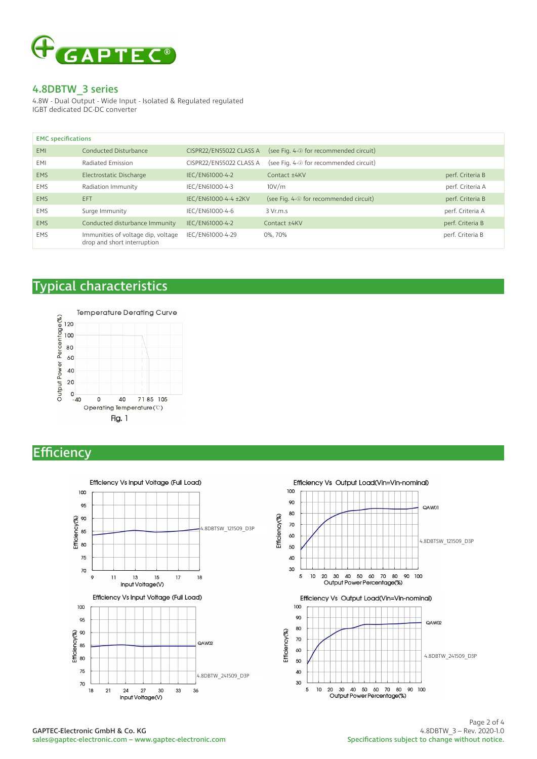

4.8W - Dual Output - Wide Input - Isolated & Regulated regulated IGBT dedicated DC-DC converter

| <b>EMC</b> specifications |                                                                   |                         |                                         |                  |
|---------------------------|-------------------------------------------------------------------|-------------------------|-----------------------------------------|------------------|
| <b>EMI</b>                | Conducted Disturbance                                             | CISPR22/EN55022 CLASS A | (see Fig. 4-2 for recommended circuit)  |                  |
| EMI                       | Radiated Emission                                                 | CISPR22/EN55022 CLASS A | (see Fig. 4-2 for recommended circuit)  |                  |
| <b>EMS</b>                | Electrostatic Discharge                                           | IEC/EN61000-4-2         | Contact +4KV                            | perf. Criteria B |
| <b>EMS</b>                | Radiation Immunity                                                | IEC/EN61000-4-3         | 10V/m                                   | perf. Criteria A |
| <b>EMS</b>                | EFT                                                               | IEC/EN61000-4-4 ±2KV    | (see Fig. 4-10 for recommended circuit) | perf. Criteria B |
| <b>EMS</b>                | Surge Immunity                                                    | IEC/EN61000-4-6         | 3 Vr.m.s                                | perf. Criteria A |
| <b>EMS</b>                | Conducted disturbance Immunity                                    | IEC/EN61000-4-2         | Contact ±4KV                            | perf. Criteria B |
| <b>EMS</b>                | Immunities of voltage dip, voltage<br>drop and short interruption | IEC/EN61000-4-29        | 0%, 70%                                 | perf. Criteria B |

# Typical characteristics



# **Efficiency**



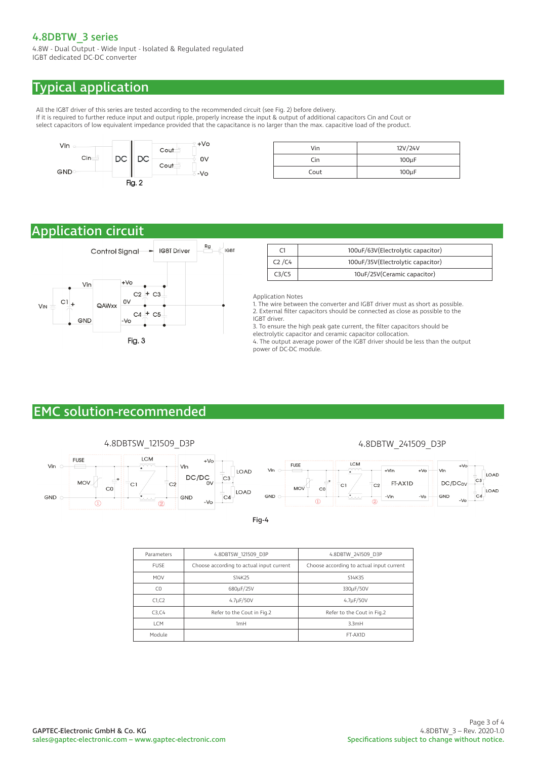4.8W - Dual Output - Wide Input - Isolated & Regulated regulated IGBT dedicated DC-DC converter

# Typical application

All the IGBT driver of this series are tested according to the recommended circuit (see Fig. 2) before delivery. If it is required to further reduce input and output ripple, properly increase the input & output of additional capacitors Cin and Cout or select capacitors of low equivalent impedance provided that the capacitance is no larger than the max. capacitive load of the product.



| Vin  | 12V/24V    |
|------|------------|
| Cin  | $100\mu F$ |
| Cout | $100\mu F$ |

# Application circuit



|                                | 100uF/63V(Electrolytic capacitor) |
|--------------------------------|-----------------------------------|
| C <sub>2</sub> /C <sub>4</sub> | 100uF/35V(Electrolytic capacitor) |
|                                | 10uF/25V(Ceramic capacitor)       |

Application Notes

1. The wire between the converter and IGBT driver must as short as possible. 2. External filter capacitors should be connected as close as possible to the IGBT driver.

3. To ensure the high peak gate current, the filter capacitors should be electrolytic capacitor and ceramic capacitor collocation.

4. The output average power of the IGBT driver should be less than the output power of DC-DC module.

# EMC solution-recommended



Fig-4

| Parameters     | 4.8DBTSW 121509 D3P                      | 4.8DBTW 241509 D3P                       |
|----------------|------------------------------------------|------------------------------------------|
| <b>FUSE</b>    | Choose according to actual input current | Choose according to actual input current |
| <b>MOV</b>     | S14K25                                   | S14K35                                   |
| C <sub>0</sub> | 680µF/25V                                | 330µF/50V                                |
| C1, C2         | 4.7µF/50V                                | $4.7\mu F/50V$                           |
| C3, C4         | Refer to the Cout in Fig.2               | Refer to the Cout in Fig.2               |
| <b>ICM</b>     | 1mH                                      | 3.3mH                                    |
| Module         |                                          | FT-AX1D                                  |
|                |                                          |                                          |